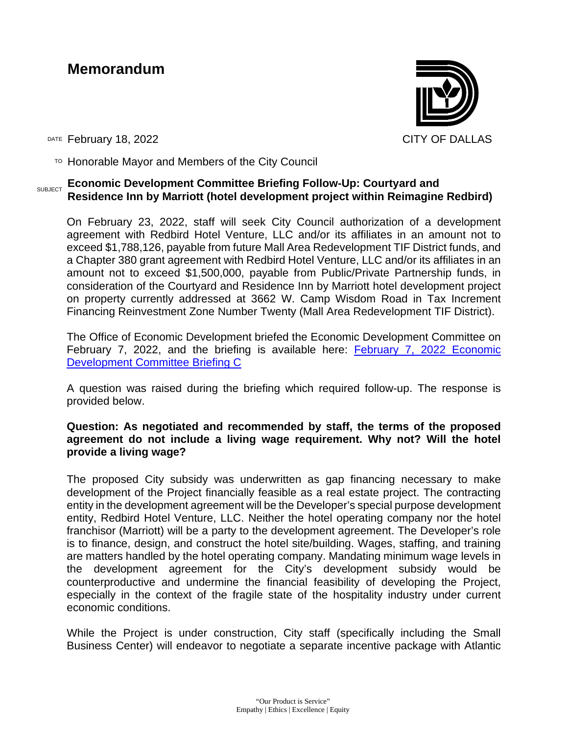# **Memorandum**



DATE February 18, 2022 **CITY OF DALLAS** 

 $T$ <sup>O</sup> Honorable Mayor and Members of the City Council

### **SUBJECT ECONOMIC Development Committee Briefing Follow-Up: Courtyard and Residence Inn by Marriott (hotel development project within Reimagine Redbird)**

On February 23, 2022, staff will seek City Council authorization of a development agreement with Redbird Hotel Venture, LLC and/or its affiliates in an amount not to exceed \$1,788,126, payable from future Mall Area Redevelopment TIF District funds, and a Chapter 380 grant agreement with Redbird Hotel Venture, LLC and/or its affiliates in an amount not to exceed \$1,500,000, payable from Public/Private Partnership funds, in consideration of the Courtyard and Residence Inn by Marriott hotel development project on property currently addressed at 3662 W. Camp Wisdom Road in Tax Increment Financing Reinvestment Zone Number Twenty (Mall Area Redevelopment TIF District).

The Office of Economic Development briefed the Economic Development Committee on February 7, 2022, and the briefing is available here: [February 7, 2022 Economic](https://cityofdallas.legistar.com/LegislationDetail.aspx?ID=5446817&GUID=1AD64404-0FC3-4C77-AF22-08F07BBC7A09&Options=&Search=)  [Development Committee Briefing C](https://cityofdallas.legistar.com/LegislationDetail.aspx?ID=5446817&GUID=1AD64404-0FC3-4C77-AF22-08F07BBC7A09&Options=&Search=) 

A question was raised during the briefing which required follow-up. The response is provided below.

## **Question: As negotiated and recommended by staff, the terms of the proposed agreement do not include a living wage requirement. Why not? Will the hotel provide a living wage?**

The proposed City subsidy was underwritten as gap financing necessary to make development of the Project financially feasible as a real estate project. The contracting entity in the development agreement will be the Developer's special purpose development entity, Redbird Hotel Venture, LLC. Neither the hotel operating company nor the hotel franchisor (Marriott) will be a party to the development agreement. The Developer's role is to finance, design, and construct the hotel site/building. Wages, staffing, and training are matters handled by the hotel operating company. Mandating minimum wage levels in the development agreement for the City's development subsidy would be counterproductive and undermine the financial feasibility of developing the Project, especially in the context of the fragile state of the hospitality industry under current economic conditions.

While the Project is under construction, City staff (specifically including the Small Business Center) will endeavor to negotiate a separate incentive package with Atlantic